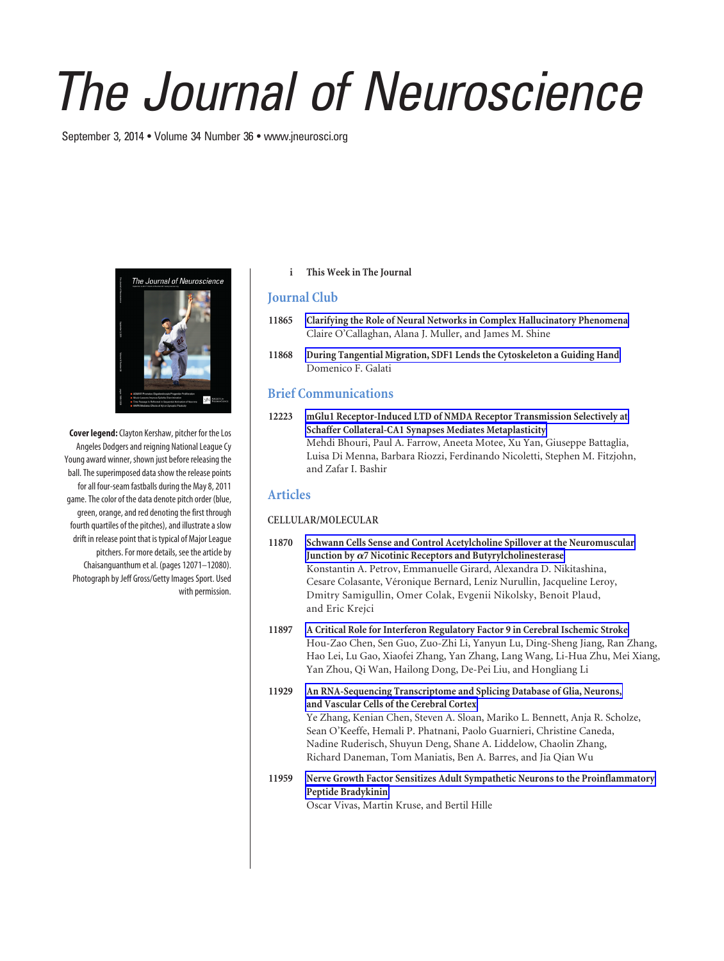# *The Journal of Neuroscience*

September 3, 2014 • Volume 34 Number 36 • www.jneurosci.org



**Cover legend:**Clayton Kershaw, pitcher for the Los Angeles Dodgers and reigning National League Cy Young award winner, shown just before releasing the ball. The superimposed data show the release points for all four-seam fastballs during the May 8, 2011 game. The color of the data denote pitch order (blue, green, orange, and red denoting the first through fourth quartiles of the pitches), and illustrate a slow drift in release point that is typical of Major League pitchers. For more details, see the article by Chaisanguanthum et al. (pages 12071–12080). Photograph by Jeff Gross/Getty Images Sport. Used with permission.

### **i This Week in The Journal**

## **Journal Club**

- **11865 Clarifying the Role of Neural Networks in Complex Hallucinatory Phenomena** Claire O'Callaghan, Alana J. Muller, and James M. Shine
- **11868 During Tangential Migration, SDF1 Lends the Cytoskeleton a Guiding Hand** Domenico F. Galati

# **Brief Communications**

**12223 mGlu1 Receptor-Induced LTD of NMDA Receptor Transmission Selectively at Schaffer Collateral-CA1 Synapses Mediates Metaplasticity** Mehdi Bhouri, Paul A. Farrow, Aneeta Motee, Xu Yan, Giuseppe Battaglia, Luisa Di Menna, Barbara Riozzi, Ferdinando Nicoletti, Stephen M. Fitzjohn, and Zafar I. Bashir

# **Articles**

### **CELLULAR/MOLECULAR**

- **11870 Schwann Cells Sense and Control Acetylcholine Spillover at the Neuromuscular** Junction by  $\alpha$ 7 Nicotinic Receptors and Butyrylcholinesterase Konstantin A. Petrov, Emmanuelle Girard, Alexandra D. Nikitashina, Cesare Colasante, Véronique Bernard, Leniz Nurullin, Jacqueline Leroy, Dmitry Samigullin, Omer Colak, Evgenii Nikolsky, Benoit Plaud, and Eric Krejci
- **11897 A Critical Role for Interferon Regulatory Factor 9 in Cerebral Ischemic Stroke** Hou-Zao Chen, Sen Guo, Zuo-Zhi Li, Yanyun Lu, Ding-Sheng Jiang, Ran Zhang, Hao Lei, Lu Gao, Xiaofei Zhang, Yan Zhang, Lang Wang, Li-Hua Zhu, Mei Xiang, Yan Zhou, Qi Wan, Hailong Dong, De-Pei Liu, and Hongliang Li
- **11929 An RNA-Sequencing Transcriptome and Splicing Database of Glia, Neurons, and Vascular Cells of the Cerebral Cortex** Ye Zhang, Kenian Chen, Steven A. Sloan, Mariko L. Bennett, Anja R. Scholze, Sean O'Keeffe, Hemali P. Phatnani, Paolo Guarnieri, Christine Caneda, Nadine Ruderisch, Shuyun Deng, Shane A. Liddelow, Chaolin Zhang, Richard Daneman, Tom Maniatis, Ben A. Barres, and Jia Qian Wu
- **11959 Nerve Growth Factor Sensitizes Adult Sympathetic Neurons to the Proinflammatory Peptide Bradykinin**

Oscar Vivas, Martin Kruse, and Bertil Hille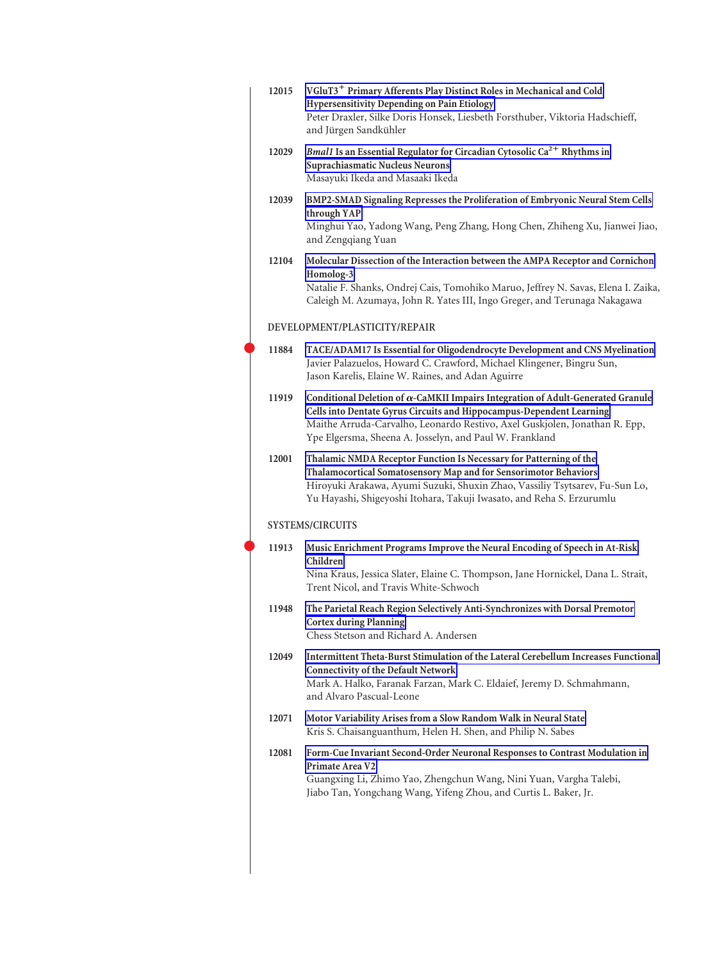| 12015 | VGluT3 <sup>+</sup> Primary Afferents Play Distinct Roles in Mechanical and Cold<br>Hypersensitivity Depending on Pain Etiology<br>Peter Draxler, Silke Doris Honsek, Liesbeth Forsthuber, Viktoria Hadschieff,<br>and Jürgen Sandkühler                                                                 |
|-------|----------------------------------------------------------------------------------------------------------------------------------------------------------------------------------------------------------------------------------------------------------------------------------------------------------|
| 12029 | Bmal1 Is an Essential Regulator for Circadian Cytosolic Ca <sup>2+</sup> Rhythms in<br>Suprachiasmatic Nucleus Neurons<br>Masayuki Ikeda and Masaaki Ikeda                                                                                                                                               |
| 12039 | BMP2-SMAD Signaling Represses the Proliferation of Embryonic Neural Stem Cells<br>through YAP<br>Minghui Yao, Yadong Wang, Peng Zhang, Hong Chen, Zhiheng Xu, Jianwei Jiao,<br>and Zengqiang Yuan                                                                                                        |
| 12104 | Molecular Dissection of the Interaction between the AMPA Receptor and Cornichon<br>Homolog-3<br>Natalie F. Shanks, Ondrej Cais, Tomohiko Maruo, Jeffrey N. Savas, Elena I. Zaika,<br>Caleigh M. Azumaya, John R. Yates III, Ingo Greger, and Terunaga Nakagawa                                           |
|       | DEVELOPMENT/PLASTICITY/REPAIR                                                                                                                                                                                                                                                                            |
| 11884 | TACE/ADAM17 Is Essential for Oligodendrocyte Development and CNS Myelination<br>Javier Palazuelos, Howard C. Crawford, Michael Klingener, Bingru Sun,<br>Jason Karelis, Elaine W. Raines, and Adan Aguirre                                                                                               |
| 11919 | Conditional Deletion of $\alpha$ -CaMKII Impairs Integration of Adult-Generated Granule<br>Cells into Dentate Gyrus Circuits and Hippocampus-Dependent Learning<br>Maithe Arruda-Carvalho, Leonardo Restivo, Axel Guskjolen, Jonathan R. Epp,<br>Ype Elgersma, Sheena A. Josselyn, and Paul W. Frankland |
| 12001 | Thalamic NMDA Receptor Function Is Necessary for Patterning of the<br>Thalamocortical Somatosensory Map and for Sensorimotor Behaviors<br>Hiroyuki Arakawa, Ayumi Suzuki, Shuxin Zhao, Vassiliy Tsytsarev, Fu-Sun Lo,<br>Yu Hayashi, Shigeyoshi Itohara, Takuji Iwasato, and Reha S. Erzurumlu           |
|       | <b>SYSTEMS/CIRCUITS</b>                                                                                                                                                                                                                                                                                  |
| 11913 | Music Enrichment Programs Improve the Neural Encoding of Speech in At-Risk<br>Children<br>Nina Kraus, Jessica Slater, Elaine C. Thompson, Jane Hornickel, Dana L. Strait,<br>Trent Nicol, and Travis White-Schwoch                                                                                       |
| 11948 | The Parietal Reach Region Selectively Anti-Synchronizes with Dorsal Premotor<br><b>Cortex during Planning</b><br>Chess Stetson and Richard A. Andersen                                                                                                                                                   |
| 12049 | Intermittent Theta-Burst Stimulation of the Lateral Cerebellum Increases Functional<br><b>Connectivity of the Default Network</b><br>Mark A. Halko, Faranak Farzan, Mark C. Eldaief, Jeremy D. Schmahmann,<br>and Alvaro Pascual-Leone                                                                   |
| 12071 | Motor Variability Arises from a Slow Random Walk in Neural State<br>Kris S. Chaisanguanthum, Helen H. Shen, and Philip N. Sabes                                                                                                                                                                          |
| 12081 | Form-Cue Invariant Second-Order Neuronal Responses to Contrast Modulation in<br>Primate Area V2<br>Guangxing Li, Zhimo Yao, Zhengchun Wang, Nini Yuan, Vargha Talebi,<br>Jiabo Tan, Yongchang Wang, Yifeng Zhou, and Curtis L. Baker, Jr.                                                                |
|       |                                                                                                                                                                                                                                                                                                          |

 $\bullet$ 

 $\bullet$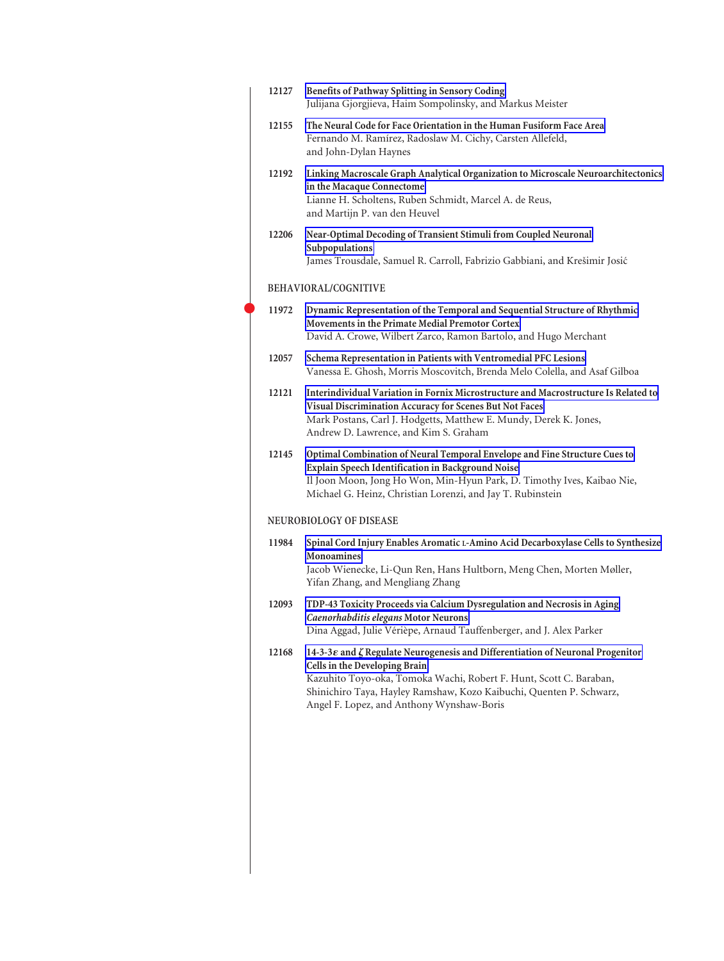| 12127 | Benefits of Pathway Splitting in Sensory Coding<br>Julijana Gjorgjieva, Haim Sompolinsky, and Markus Meister                                                                                                                                                                                                                 |  |  |
|-------|------------------------------------------------------------------------------------------------------------------------------------------------------------------------------------------------------------------------------------------------------------------------------------------------------------------------------|--|--|
| 12155 | The Neural Code for Face Orientation in the Human Fusiform Face Area<br>Fernando M. Ramírez, Radoslaw M. Cichy, Carsten Allefeld,<br>and John-Dylan Haynes                                                                                                                                                                   |  |  |
| 12192 | Linking Macroscale Graph Analytical Organization to Microscale Neuroarchitectonics<br>in the Macaque Connectome<br>Lianne H. Scholtens, Ruben Schmidt, Marcel A. de Reus,<br>and Martijn P. van den Heuvel                                                                                                                   |  |  |
| 12206 | Near-Optimal Decoding of Transient Stimuli from Coupled Neuronal<br>Subpopulations<br>James Trousdale, Samuel R. Carroll, Fabrizio Gabbiani, and Krešimir Josić                                                                                                                                                              |  |  |
|       | BEHAVIORAL/COGNITIVE                                                                                                                                                                                                                                                                                                         |  |  |
| 11972 | Dynamic Representation of the Temporal and Sequential Structure of Rhythmic<br>Movements in the Primate Medial Premotor Cortex<br>David A. Crowe, Wilbert Zarco, Ramon Bartolo, and Hugo Merchant                                                                                                                            |  |  |
| 12057 | Schema Representation in Patients with Ventromedial PFC Lesions<br>Vanessa E. Ghosh, Morris Moscovitch, Brenda Melo Colella, and Asaf Gilboa                                                                                                                                                                                 |  |  |
| 12121 | Interindividual Variation in Fornix Microstructure and Macrostructure Is Related to<br>Visual Discrimination Accuracy for Scenes But Not Faces<br>Mark Postans, Carl J. Hodgetts, Matthew E. Mundy, Derek K. Jones,<br>Andrew D. Lawrence, and Kim S. Graham                                                                 |  |  |
| 12145 | Optimal Combination of Neural Temporal Envelope and Fine Structure Cues to<br>Explain Speech Identification in Background Noise<br>Il Joon Moon, Jong Ho Won, Min-Hyun Park, D. Timothy Ives, Kaibao Nie,<br>Michael G. Heinz, Christian Lorenzi, and Jay T. Rubinstein                                                      |  |  |
|       | <b>NEUROBIOLOGY OF DISEASE</b>                                                                                                                                                                                                                                                                                               |  |  |
| 11984 | Spinal Cord Injury Enables Aromatic L-Amino Acid Decarboxylase Cells to Synthesize<br><b>Monoamines</b><br>Jacob Wienecke, Li-Qun Ren, Hans Hultborn, Meng Chen, Morten Møller,<br>Yifan Zhang, and Mengliang Zhang                                                                                                          |  |  |
| 12093 | TDP-43 Toxicity Proceeds via Calcium Dysregulation and Necrosis in Aging<br>Caenorhabditis elegans Motor Neurons<br>Dina Aggad, Julie Vérièpe, Arnaud Tauffenberger, and J. Alex Parker                                                                                                                                      |  |  |
| 12168 | 14-3-3 $\varepsilon$ and $\zeta$ Regulate Neurogenesis and Differentiation of Neuronal Progenitor<br>Cells in the Developing Brain<br>Kazuhito Toyo-oka, Tomoka Wachi, Robert F. Hunt, Scott C. Baraban,<br>Shinichiro Taya, Hayley Ramshaw, Kozo Kaibuchi, Quenten P. Schwarz,<br>Angel F. Lopez, and Anthony Wynshaw-Boris |  |  |
|       |                                                                                                                                                                                                                                                                                                                              |  |  |

 $\bullet$